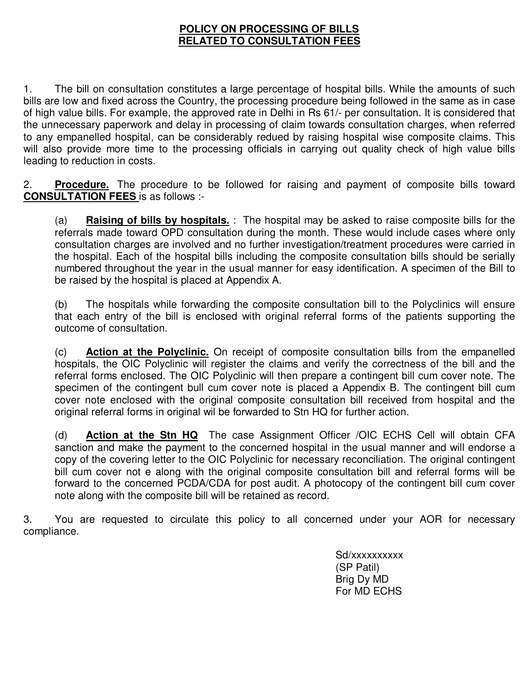## **POLICY ON PROCESSING OF BILLS RELATED TO CONSULTATION FEES**

1. The bill on consultation constitutes a large percentage of hospital bills. While the amounts of such bills are low and fixed across the Country, the processing procedure being followed in the same as in case of high value bills. For example, the approved rate in Delhi in Rs 61/- per consultation. It is considered that the unnecessary paperwork and delay in processing of claim towards consultation charges, when referred to any empanelled hospital, can be considerably redued by raising hospital wise composite claims. This will also provide more time to the processing officials in carrying out quality check of high value bills leading to reduction in costs.

2. **Procedure.** The procedure to be followed for raising and payment of composite bills toward **CONSULTATION FEES** is as follows :-

(a) **Raising of bills by hospitals.** : The hospital may be asked to raise composite bills for the referrals made toward OPD consultation during the month. These would include cases where only consultation charges are involved and no further investigation/treatment procedures were carried in the hospital. Each of the hospital bills including the composite consultation bills should be serially numbered throughout the year in the usual manner for easy identification. A specimen of the Bill to be raised by the hospital is placed at Appendix A.

(b) The hospitals while forwarding the composite consultation bill to the Polyclinics will ensure that each entry of the bill is enclosed with original referral forms of the patients supporting the outcome of consultation.

(c) **Action at the Polyclinic.** On receipt of composite consultation bills from the empanelled hospitals, the OIC Polyclinic will register the claims and verify the correctness of the bill and the referral forms enclosed. The OIC Polyclinic will then prepare a contingent bill cum cover note. The specimen of the contingent bull cum cover note is placed a Appendix B. The contingent bill cum cover note enclosed with the original composite consultation bill received from hospital and the original referral forms in original wil be forwarded to Stn HQ for further action.

(d) **Action at the Stn HQ** The case Assignment Officer /OIC ECHS Cell will obtain CFA sanction and make the payment to the concerned hospital in the usual manner and will endorse a copy of the covering letter to the OIC Polyclinic for necessary reconciliation. The original contingent bill cum cover not e along with the original composite consultation bill and referral forms will be forward to the concerned PCDA/CDA for post audit. A photocopy of the contingent bill cum cover note along with the composite bill will be retained as record.

3. You are requested to circulate this policy to all concerned under your AOR for necessary compliance.

> Sd/xxxxxxxxx (SP Patil) Brig Dy MD For MD ECHS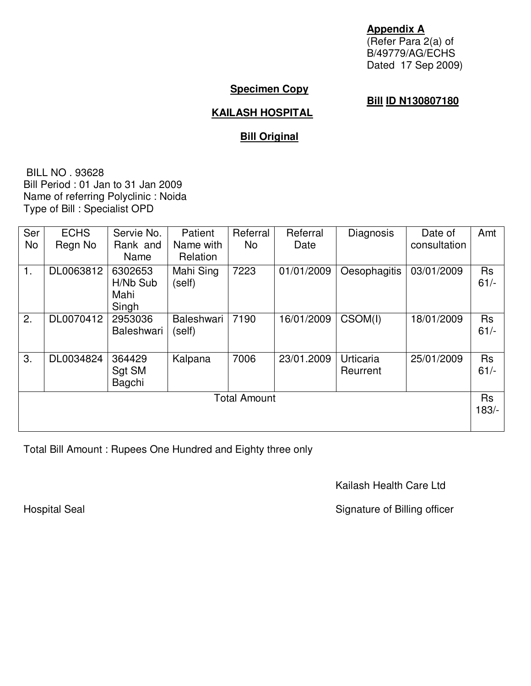**Appendix A** (Refer Para 2(a) of B/49779/AG/ECHS Dated 17 Sep 2009)

## **Specimen Copy**

## **Bill ID N130807180**

## **KAILASH HOSPITAL**

# **Bill Original**

 BILL NO . 93628 Bill Period : 01 Jan to 31 Jan 2009 Name of referring Polyclinic : Noida Type of Bill : Specialist OPD

| Ser                 | <b>ECHS</b> | Servie No.        | Patient           | Referral | Referral   | Diagnosis    | Date of      | Amt       |
|---------------------|-------------|-------------------|-------------------|----------|------------|--------------|--------------|-----------|
| No                  | Regn No     | Rank and          | Name with         | No.      | Date       |              | consultation |           |
|                     |             | Name              | Relation          |          |            |              |              |           |
| 1.                  | DL0063812   | 6302653           | Mahi Sing         | 7223     | 01/01/2009 | Oesophagitis | 03/01/2009   | <b>Rs</b> |
|                     |             | H/Nb Sub          | (self)            |          |            |              |              | $61/-$    |
|                     |             | Mahi              |                   |          |            |              |              |           |
|                     |             | Singh             |                   |          |            |              |              |           |
| 2.                  | DL0070412   | 2953036           | <b>Baleshwari</b> | 7190     | 16/01/2009 | CSOM(I)      | 18/01/2009   | <b>Rs</b> |
|                     |             | <b>Baleshwari</b> | (self)            |          |            |              |              | $61/-$    |
|                     |             |                   |                   |          |            |              |              |           |
| 3.                  | DL0034824   | 364429            | Kalpana           | 7006     | 23/01.2009 | Urticaria    | 25/01/2009   | <b>Rs</b> |
|                     |             | Sgt SM            |                   |          |            | Reurrent     |              | $61/-$    |
|                     |             | Bagchi            |                   |          |            |              |              |           |
| <b>Total Amount</b> |             |                   |                   |          |            |              |              | <b>Rs</b> |
|                     |             |                   |                   |          |            |              |              | $183/-$   |
|                     |             |                   |                   |          |            |              |              |           |
|                     |             |                   |                   |          |            |              |              |           |

Total Bill Amount : Rupees One Hundred and Eighty three only

Kailash Health Care Ltd

Hospital Seal **Signature of Billing officer** Signature of Billing officer